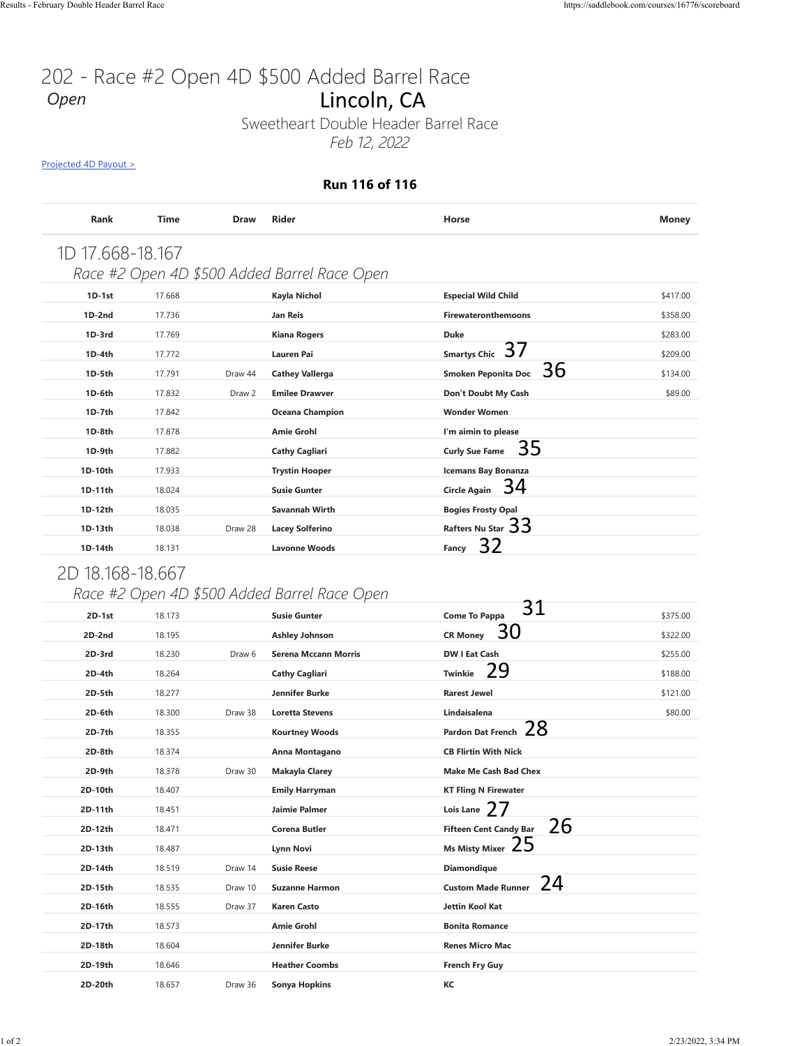# 202 - Race #2 Open 4D \$500 Added Barrel Race *Open*

#### **Run 116 of 116**

| Rank             | <b>Time</b> | <b>Draw</b>       | <b>Rider</b>                                 | <b>Horse</b>                     | <b>Money</b> |
|------------------|-------------|-------------------|----------------------------------------------|----------------------------------|--------------|
| 1D 17.668-18.167 |             |                   |                                              |                                  |              |
|                  |             |                   | Race #2 Open 4D \$500 Added Barrel Race Open |                                  |              |
| $1D-1st$         | 17.668      |                   | Kayla Nichol                                 | <b>Especial Wild Child</b>       | \$417.00     |
| $1D-2nd$         | 17.736      |                   | <b>Jan Reis</b>                              | <b>Firewateronthemoons</b>       | \$358.00     |
| $1D-3rd$         | 17.769      |                   | <b>Kiana Rogers</b>                          | <b>Duke</b>                      | \$283.00     |
| $1D-4th$         | 17.772      |                   | Lauren Pai                                   | Smartys Chic 37                  | \$209.00     |
| $1D-5th$         | 17.791      | Draw 44           | <b>Cathey Vallerga</b>                       | 36<br><b>Smoken Peponita Doc</b> | \$134.00     |
| 1D-6th           | 17.832      | Draw <sub>2</sub> | <b>Emilee Drawver</b>                        | Don't Doubt My Cash              | \$89.00      |
| $1D-7th$         | 17.842      |                   | <b>Oceana Champion</b>                       | <b>Wonder Women</b>              |              |
| 1D-8th           | 17.878      |                   | <b>Amie Grohl</b>                            | I'm aimin to please              |              |
| 1D-9th           | 17.882      |                   | <b>Cathy Cagliari</b>                        | 35<br><b>Curly Sue Fame</b>      |              |
| 1D-10th          | 17.933      |                   | <b>Trystin Hooper</b>                        | <b>Icemans Bay Bonanza</b>       |              |
| 1D-11th          | 18.024      |                   | <b>Susie Gunter</b>                          | Circle Again $34$                |              |
| 1D-12th          | 18.035      |                   | Savannah Wirth                               | <b>Bogies Frosty Opal</b>        |              |
| 1D-13th          | 18.038      | Draw 28           | <b>Lacey Solferino</b>                       | Rafters Nu Star 33               |              |
| 1D-14th          | 18.131      |                   | <b>Lavonne Woods</b>                         | 32<br>Fancy                      |              |

## 2D 18.168-18.667

### *Race #2 Open 4D \$500 Added Barrel Race Open*

| <u>Projected 4D Payout &gt;</u> |        |             |                                              |                                                 |              |  |
|---------------------------------|--------|-------------|----------------------------------------------|-------------------------------------------------|--------------|--|
| Run 116 of 116                  |        |             |                                              |                                                 |              |  |
| Rank                            | Time   | <b>Draw</b> | <b>Rider</b>                                 | Horse                                           | <b>Money</b> |  |
|                                 |        |             |                                              |                                                 |              |  |
| 1D 17.668-18.167                |        |             |                                              |                                                 |              |  |
|                                 |        |             | Race #2 Open 4D \$500 Added Barrel Race Open |                                                 |              |  |
| $1D-1st$                        | 17.668 |             | Kayla Nichol                                 | <b>Especial Wild Child</b>                      | \$417.00     |  |
| $1D-2nd$                        | 17.736 |             | <b>Jan Reis</b>                              | <b>Firewateronthemoons</b>                      | \$358.00     |  |
| 1D-3rd                          | 17.769 |             | <b>Kiana Rogers</b>                          | <b>Duke</b><br>37                               | \$283.00     |  |
| $1D-4th$                        | 17.772 |             | Lauren Pai                                   | <b>Smartys Chic</b><br>36                       | \$209.00     |  |
| 1D-5th                          | 17.791 | Draw 44     | <b>Cathey Vallerga</b>                       | <b>Smoken Peponita Doc</b>                      | \$134.00     |  |
| 1D-6th                          | 17.832 | Draw 2      | <b>Emilee Drawver</b>                        | Don't Doubt My Cash                             | \$89.00      |  |
| 1D-7th                          | 17.842 |             | <b>Oceana Champion</b>                       | <b>Wonder Women</b>                             |              |  |
| 1D-8th                          | 17.878 |             | <b>Amie Grohl</b>                            | I'm aimin to please<br>35                       |              |  |
| 1D-9th                          | 17.882 |             | <b>Cathy Cagliari</b>                        | <b>Curly Sue Fame</b>                           |              |  |
| 1D-10th                         | 17.933 |             | <b>Trystin Hooper</b>                        | <b>Icemans Bay Bonanza</b><br>34                |              |  |
| 1D-11th                         | 18.024 |             | <b>Susie Gunter</b>                          | <b>Circle Again</b>                             |              |  |
| 1D-12th<br>1D-13th              | 18.035 |             | Savannah Wirth                               | <b>Bogies Frosty Opal</b><br>Rafters Nu Star 33 |              |  |
|                                 | 18.038 | Draw 28     | <b>Lacey Solferino</b>                       |                                                 |              |  |
|                                 |        |             |                                              |                                                 |              |  |
| 1D-14th                         | 18.131 |             | <b>Lavonne Woods</b>                         | 32<br>Fancy                                     |              |  |
| 2D 18.168-18.667                |        |             |                                              |                                                 |              |  |
|                                 |        |             | Race #2 Open 4D \$500 Added Barrel Race Open |                                                 |              |  |
| $2D-1st$                        | 18.173 |             | <b>Susie Gunter</b>                          | 31<br><b>Come To Pappa</b>                      | \$375.00     |  |
| $2D-2nd$                        | 18.195 |             | <b>Ashley Johnson</b>                        | 30<br><b>CR Money</b>                           | \$322.00     |  |
| 2D-3rd                          | 18.230 | Draw 6      | <b>Serena Mccann Morris</b>                  | <b>DW I Eat Cash</b>                            | \$255.00     |  |
| $2D-4th$                        | 18.264 |             | <b>Cathy Cagliari</b>                        | 29<br><b>Twinkie</b>                            | \$188.00     |  |
| 2D-5th                          | 18.277 |             | Jennifer Burke                               | <b>Rarest Jewel</b>                             | \$121.00     |  |
| 2D-6th                          | 18.300 | Draw 38     | <b>Loretta Stevens</b>                       | Lindaisalena                                    | \$80.00      |  |
| 2D-7th                          | 18.355 |             | <b>Kourtney Woods</b>                        | Pardon Dat French 28                            |              |  |
| 2D-8th                          | 18.374 |             | Anna Montagano                               | <b>CB Flirtin With Nick</b>                     |              |  |
| 2D-9th                          | 18.378 | Draw 30     | Makayla Clarey                               | <b>Make Me Cash Bad Chex</b>                    |              |  |
| 2D-10th                         | 18.407 |             | <b>Emily Harryman</b>                        | <b>KT Fling N Firewater</b>                     |              |  |
| 2D-11th                         | 18.451 |             | Jaimie Palmer                                | Lois Lane $27$                                  |              |  |
| 2D-12th                         | 18.471 |             | Corena Butler                                | 26<br><b>Fifteen Cent Candy Bar</b>             |              |  |
| 2D-13th                         | 18.487 |             | Lynn Novi                                    | 25<br><b>Ms Misty Mixer</b>                     |              |  |
| 2D-14th                         | 18.519 | Draw 14     | <b>Susie Reese</b>                           | <b>Diamondique</b>                              |              |  |
| 2D-15th                         | 18.535 | Draw 10     | <b>Suzanne Harmon</b>                        | 24<br><b>Custom Made Runner</b>                 |              |  |
| 2D-16th                         | 18.555 | Draw 37     | <b>Karen Casto</b>                           | Jettin Kool Kat                                 |              |  |
| 2D-17th                         | 18.573 |             | <b>Amie Grohl</b>                            | <b>Bonita Romance</b>                           |              |  |
| 2D-18th                         | 18.604 |             | Jennifer Burke                               | <b>Renes Micro Mac</b>                          |              |  |
| 2D-19th                         | 18.646 |             | <b>Heather Coombs</b>                        | French Fry Guy                                  |              |  |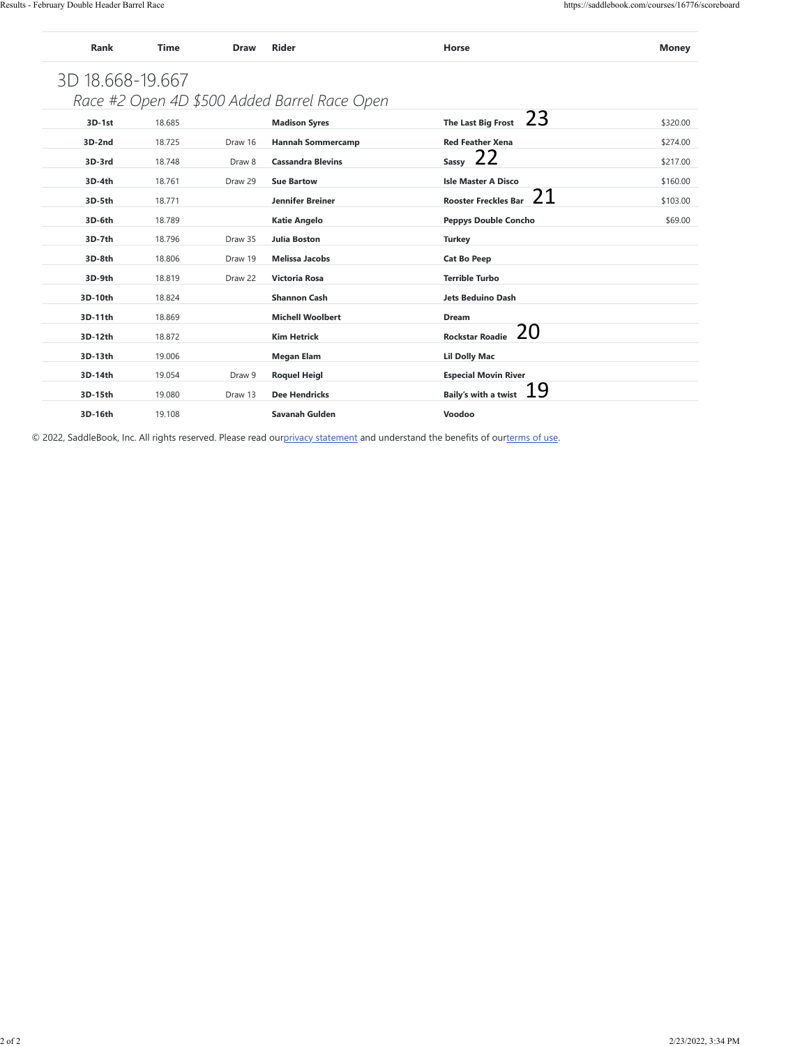|                                                                                                                                |                  |                    | Race #2 Open 4D \$500 Added Barrel Race Open |                                             |          |
|--------------------------------------------------------------------------------------------------------------------------------|------------------|--------------------|----------------------------------------------|---------------------------------------------|----------|
| 3D-1st                                                                                                                         | 18.685           |                    | <b>Madison Syres</b>                         | 23<br>The Last Big Frost                    | \$320.00 |
| 3D-2nd                                                                                                                         | 18.725           | Draw 16            | <b>Hannah Sommercamp</b>                     | <b>Red Feather Xena</b>                     | \$274.00 |
| 3D-3rd                                                                                                                         | 18.748           | Draw 8             | <b>Cassandra Blevins</b>                     | 22<br>Sassy                                 | \$217.00 |
| 3D-4th                                                                                                                         | 18.761           | Draw 29            | <b>Sue Bartow</b>                            | <b>Isle Master A Disco</b><br>21            | \$160.00 |
| 3D-5th                                                                                                                         | 18.771           |                    | Jennifer Breiner                             | <b>Rooster Freckles Bar</b>                 | \$103.00 |
| 3D-6th                                                                                                                         | 18.789           |                    | <b>Katie Angelo</b>                          | <b>Peppys Double Concho</b>                 | \$69.00  |
| 3D-7th                                                                                                                         | 18.796           | Draw 35            | Julia Boston                                 | <b>Turkey</b>                               |          |
| 3D-8th<br>3D-9th                                                                                                               | 18.806<br>18.819 | Draw 19<br>Draw 22 | <b>Melissa Jacobs</b><br>Victoria Rosa       | <b>Cat Bo Peep</b><br><b>Terrible Turbo</b> |          |
| 3D-10th                                                                                                                        | 18.824           |                    | <b>Shannon Cash</b>                          | <b>Jets Beduino Dash</b>                    |          |
| 3D-11th                                                                                                                        | 18.869           |                    | <b>Michell Woolbert</b>                      | Dream                                       |          |
| 3D-12th                                                                                                                        | 18.872           |                    | <b>Kim Hetrick</b>                           | 20<br><b>Rockstar Roadie</b>                |          |
| 3D-13th                                                                                                                        | 19.006           |                    | <b>Megan Elam</b>                            | <b>Lil Dolly Mac</b>                        |          |
| 3D-14th                                                                                                                        | 19.054           | Draw 9             | <b>Roquel Heigl</b>                          | <b>Especial Movin River</b>                 |          |
| 3D-15th                                                                                                                        | 19.080           | Draw 13            | <b>Dee Hendricks</b>                         | <u>19</u><br><b>Baily's with a twist</b>    |          |
| 3D-16th                                                                                                                        | 19.108           |                    | Savanah Gulden                               | Voodoo                                      |          |
|                                                                                                                                |                  |                    |                                              |                                             |          |
| © 2022, SaddleBook, Inc. All rights reserved. Please read ourprivacy statement and understand the benefits of ourterms of use. |                  |                    |                                              |                                             |          |
|                                                                                                                                |                  |                    |                                              |                                             |          |
|                                                                                                                                |                  |                    |                                              |                                             |          |
|                                                                                                                                |                  |                    |                                              |                                             |          |
|                                                                                                                                |                  |                    |                                              |                                             |          |
|                                                                                                                                |                  |                    |                                              |                                             |          |
|                                                                                                                                |                  |                    |                                              |                                             |          |
|                                                                                                                                |                  |                    |                                              |                                             |          |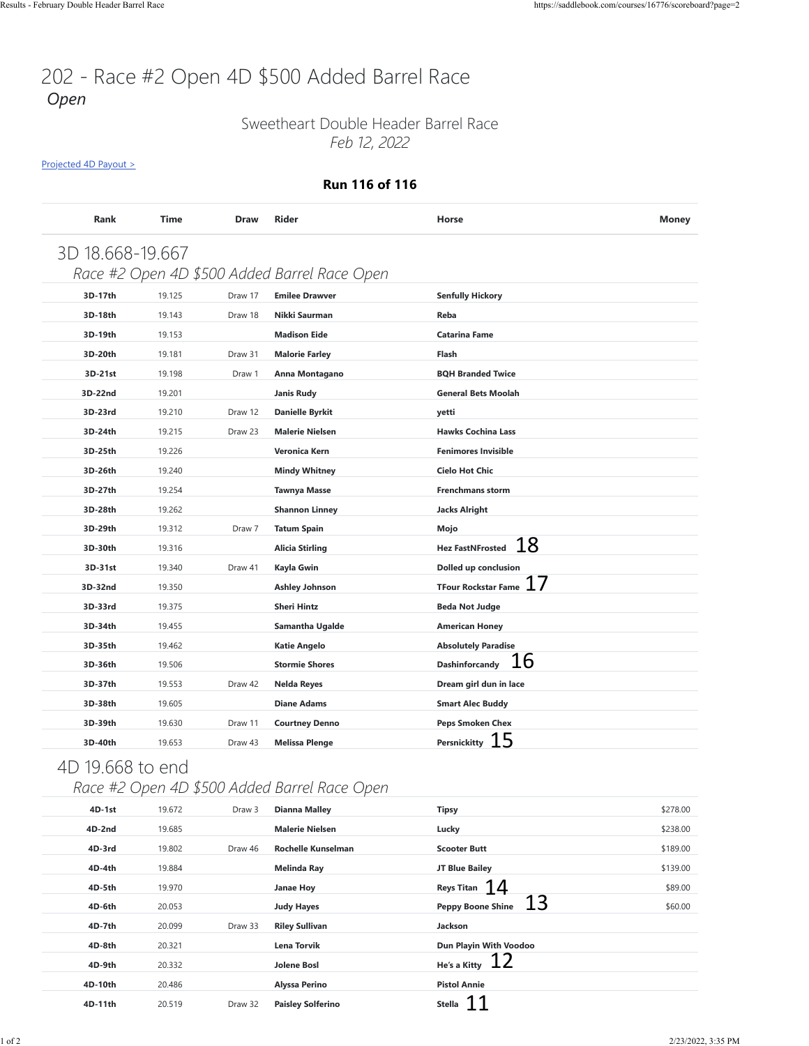## 202 - Race #2 Open 4D \$500 Added Barrel Race *Open*

### Sweetheart Double Header Barrel Race *Feb 12, 2022*

[Projected 4D Payout >](https://saddlebook.com/courses/16776/scoreboard?page=2#payout-projection-16776)

#### **Run 116 of 116**

| 3D 18.668-19.667 |        |         |                                              |                                  |          |
|------------------|--------|---------|----------------------------------------------|----------------------------------|----------|
|                  |        |         | Race #2 Open 4D \$500 Added Barrel Race Open |                                  |          |
| 3D-17th          | 19.125 | Draw 17 | <b>Emilee Drawver</b>                        | <b>Senfully Hickory</b>          |          |
| 3D-18th          | 19.143 | Draw 18 | Nikki Saurman                                | Reba                             |          |
| 3D-19th          | 19.153 |         | <b>Madison Eide</b>                          | <b>Catarina Fame</b>             |          |
| 3D-20th          | 19.181 | Draw 31 | <b>Malorie Farley</b>                        | Flash                            |          |
| 3D-21st          | 19.198 | Draw 1  | Anna Montagano                               | <b>BQH Branded Twice</b>         |          |
| 3D-22nd          | 19.201 |         | <b>Janis Rudy</b>                            | <b>General Bets Moolah</b>       |          |
| 3D-23rd          | 19.210 | Draw 12 | <b>Danielle Byrkit</b>                       | yetti                            |          |
| 3D-24th          | 19.215 | Draw 23 | <b>Malerie Nielsen</b>                       | <b>Hawks Cochina Lass</b>        |          |
| 3D-25th          | 19.226 |         | Veronica Kern                                | <b>Fenimores Invisible</b>       |          |
| 3D-26th          | 19.240 |         | <b>Mindy Whitney</b>                         | <b>Cielo Hot Chic</b>            |          |
| 3D-27th          | 19.254 |         | <b>Tawnya Masse</b>                          | <b>Frenchmans storm</b>          |          |
| 3D-28th          | 19.262 |         | <b>Shannon Linney</b>                        | <b>Jacks Alright</b>             |          |
| 3D-29th          | 19.312 | Draw 7  | <b>Tatum Spain</b>                           | Mojo                             |          |
| 3D-30th          | 19.316 |         | <b>Alicia Stirling</b>                       | 18<br><b>Hez FastNFrosted</b>    |          |
| 3D-31st          | 19.340 | Draw 41 | Kayla Gwin                                   | Dolled up conclusion             |          |
| 3D-32nd          | 19.350 |         | <b>Ashley Johnson</b>                        | 17<br><b>TFour Rockstar Fame</b> |          |
| 3D-33rd          | 19.375 |         | <b>Sheri Hintz</b>                           | <b>Beda Not Judge</b>            |          |
| 3D-34th          | 19.455 |         | Samantha Ugalde                              | <b>American Honey</b>            |          |
| 3D-35th          | 19.462 |         | <b>Katie Angelo</b>                          | <b>Absolutely Paradise</b>       |          |
| 3D-36th          | 19.506 |         | <b>Stormie Shores</b>                        | 16<br>Dashinforcandy             |          |
| 3D-37th          | 19.553 | Draw 42 | <b>Nelda Reyes</b>                           | Dream girl dun in lace           |          |
| 3D-38th          | 19.605 |         | <b>Diane Adams</b>                           | <b>Smart Alec Buddy</b>          |          |
| 3D-39th          | 19.630 | Draw 11 | <b>Courtney Denno</b>                        | Peps Smoken Chex                 |          |
| 3D-40th          | 19.653 | Draw 43 | <b>Melissa Plenge</b>                        | Persnickitty $15$                |          |
|                  |        |         |                                              |                                  |          |
| 4D 19.668 to end |        |         |                                              |                                  |          |
|                  |        |         | Race #2 Open 4D \$500 Added Barrel Race Open |                                  |          |
| 4D-1st           | 19.672 | Draw 3  | <b>Dianna Malley</b>                         | <b>Tipsy</b>                     | \$278.00 |
| 4D-2nd           | 19.685 |         | <b>Malerie Nielsen</b>                       | Lucky                            | \$238.00 |
| 4D-3rd           | 19.802 | Draw 46 | Rochelle Kunselman                           | <b>Scooter Butt</b>              | \$189.00 |
| 4D-4th           | 19.884 |         | <b>Melinda Ray</b>                           | JT Blue Bailey                   | \$139.00 |
| 4D-5th           | 19.970 |         | Janae Hoy                                    | <b>Reys Titan</b><br>14          | \$89.00  |
| 4D-6th           | 20.053 |         | <b>Judy Hayes</b>                            | 13<br><b>Peppy Boone Shine</b>   | \$60.00  |
| 4D-7th           | 20.099 | Draw 33 | <b>Riley Sullivan</b>                        | Jackson                          |          |
| 4D-8th           | 20.321 |         | Lena Torvik                                  | Dun Playin With Voodoo           |          |
| 4D-9th           | 20.332 |         | <b>Jolene Bosl</b>                           | <u>12</u><br>He's a Kitty        |          |
| 4D-10th          | 20.486 |         | Alyssa Perino                                | <b>Pistol Annie</b>              |          |
| 4D-11th          | 20.519 | Draw 32 | <b>Paisley Solferino</b>                     | Stella $11$                      |          |

## 4D 19.668 to end

## *Race #2 Open 4D \$500 Added Barrel Race Open*

| $4D-1st$ | 19.672 | Draw 3  | Dianna Malley             | <b>Tipsy</b>                   | \$278.00 |
|----------|--------|---------|---------------------------|--------------------------------|----------|
| 4D-2nd   | 19.685 |         | <b>Malerie Nielsen</b>    | Lucky                          | \$238.00 |
| 4D-3rd   | 19.802 | Draw 46 | <b>Rochelle Kunselman</b> | <b>Scooter Butt</b>            | \$189.00 |
| 4D-4th   | 19.884 |         | Melinda Ray               | JT Blue Bailey                 | \$139.00 |
| 4D-5th   | 19.970 |         | Janae Hoy                 | Reys Titan $14$                | \$89.00  |
| 4D-6th   | 20.053 |         | <b>Judy Hayes</b>         | 13<br><b>Peppy Boone Shine</b> | \$60.00  |
| 4D-7th   | 20.099 | Draw 33 | <b>Riley Sullivan</b>     | Jackson                        |          |
| 4D-8th   | 20.321 |         | Lena Torvik               | Dun Playin With Voodoo         |          |
| 4D-9th   | 20.332 |         | Jolene Bosl               | -12<br>He's a Kitty            |          |
| 4D-10th  | 20.486 |         | Alyssa Perino             | <b>Pistol Annie</b>            |          |
| 4D-11th  | 20.519 | Draw 32 | <b>Paisley Solferino</b>  | <b>Stella</b>                  |          |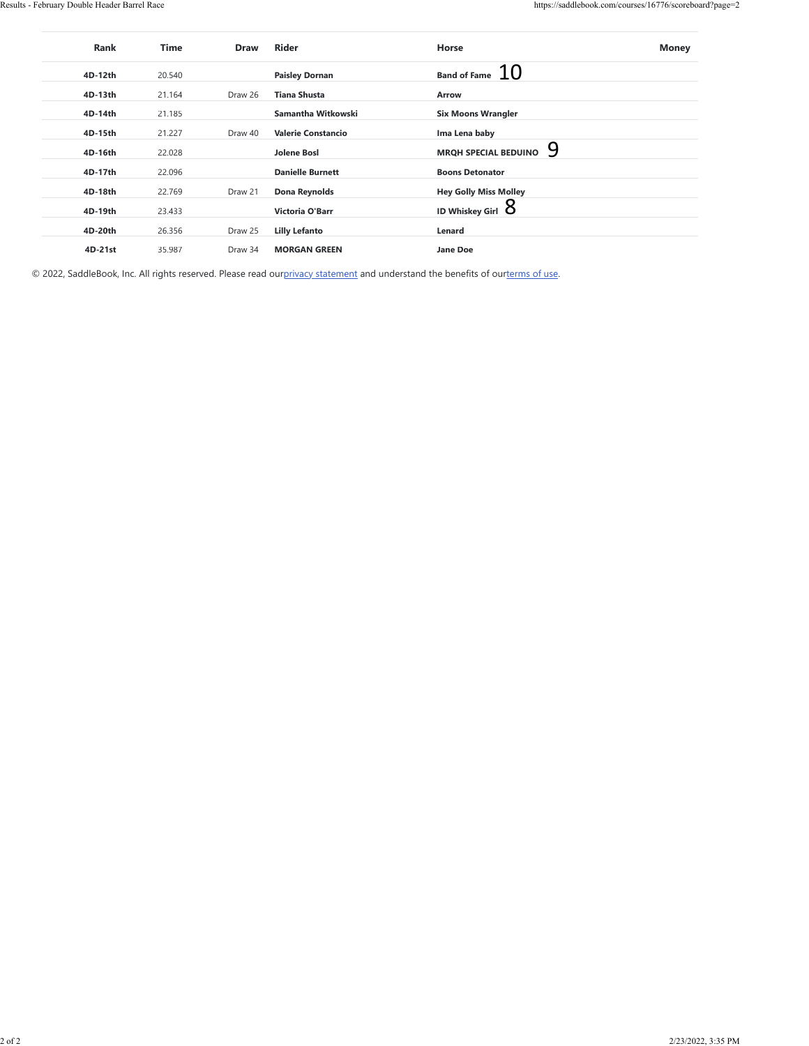| Band of Fame $10$<br>4D-12th<br>20.540<br><b>Paisley Dornan</b><br>4D-13th<br>Draw 26<br>21.164<br><b>Tiana Shusta</b><br>Arrow<br>Samantha Witkowski<br><b>Six Moons Wrangler</b><br>4D-14th<br>21.185<br>4D-15th<br>21.227<br>Draw 40<br><b>Valerie Constancio</b><br>Ima Lena baby<br>9<br>MRQH SPECIAL BEDUINO<br>4D-16th<br><b>Jolene Bosl</b><br>22.028<br>4D-17th<br>22.096<br><b>Danielle Burnett</b><br><b>Boons Detonator</b><br>4D-18th<br>22.769<br><b>Hey Golly Miss Molley</b><br>Draw 21<br>Dona Reynolds<br>ID Whiskey Girl $8$<br>4D-19th<br>23.433<br>Victoria O'Barr<br>4D-20th<br>Lenard<br>26.356<br>Draw 25<br><b>Lilly Lefanto</b><br>4D-21st<br>35.987<br>Draw 34<br><b>MORGAN GREEN</b><br>Jane Doe<br>© 2022, SaddleBook, Inc. All rights reserved. Please read ourprivacy statement and understand the benefits of ourterms of use. | Rank | Time | Draw | Rider | Horse | Money |
|----------------------------------------------------------------------------------------------------------------------------------------------------------------------------------------------------------------------------------------------------------------------------------------------------------------------------------------------------------------------------------------------------------------------------------------------------------------------------------------------------------------------------------------------------------------------------------------------------------------------------------------------------------------------------------------------------------------------------------------------------------------------------------------------------------------------------------------------------------------|------|------|------|-------|-------|-------|
|                                                                                                                                                                                                                                                                                                                                                                                                                                                                                                                                                                                                                                                                                                                                                                                                                                                                |      |      |      |       |       |       |
|                                                                                                                                                                                                                                                                                                                                                                                                                                                                                                                                                                                                                                                                                                                                                                                                                                                                |      |      |      |       |       |       |
|                                                                                                                                                                                                                                                                                                                                                                                                                                                                                                                                                                                                                                                                                                                                                                                                                                                                |      |      |      |       |       |       |
|                                                                                                                                                                                                                                                                                                                                                                                                                                                                                                                                                                                                                                                                                                                                                                                                                                                                |      |      |      |       |       |       |
|                                                                                                                                                                                                                                                                                                                                                                                                                                                                                                                                                                                                                                                                                                                                                                                                                                                                |      |      |      |       |       |       |
|                                                                                                                                                                                                                                                                                                                                                                                                                                                                                                                                                                                                                                                                                                                                                                                                                                                                |      |      |      |       |       |       |
|                                                                                                                                                                                                                                                                                                                                                                                                                                                                                                                                                                                                                                                                                                                                                                                                                                                                |      |      |      |       |       |       |
|                                                                                                                                                                                                                                                                                                                                                                                                                                                                                                                                                                                                                                                                                                                                                                                                                                                                |      |      |      |       |       |       |
|                                                                                                                                                                                                                                                                                                                                                                                                                                                                                                                                                                                                                                                                                                                                                                                                                                                                |      |      |      |       |       |       |
|                                                                                                                                                                                                                                                                                                                                                                                                                                                                                                                                                                                                                                                                                                                                                                                                                                                                |      |      |      |       |       |       |
|                                                                                                                                                                                                                                                                                                                                                                                                                                                                                                                                                                                                                                                                                                                                                                                                                                                                |      |      |      |       |       |       |
|                                                                                                                                                                                                                                                                                                                                                                                                                                                                                                                                                                                                                                                                                                                                                                                                                                                                |      |      |      |       |       |       |
|                                                                                                                                                                                                                                                                                                                                                                                                                                                                                                                                                                                                                                                                                                                                                                                                                                                                |      |      |      |       |       |       |
|                                                                                                                                                                                                                                                                                                                                                                                                                                                                                                                                                                                                                                                                                                                                                                                                                                                                |      |      |      |       |       |       |
|                                                                                                                                                                                                                                                                                                                                                                                                                                                                                                                                                                                                                                                                                                                                                                                                                                                                |      |      |      |       |       |       |
|                                                                                                                                                                                                                                                                                                                                                                                                                                                                                                                                                                                                                                                                                                                                                                                                                                                                |      |      |      |       |       |       |
|                                                                                                                                                                                                                                                                                                                                                                                                                                                                                                                                                                                                                                                                                                                                                                                                                                                                |      |      |      |       |       |       |
|                                                                                                                                                                                                                                                                                                                                                                                                                                                                                                                                                                                                                                                                                                                                                                                                                                                                |      |      |      |       |       |       |
|                                                                                                                                                                                                                                                                                                                                                                                                                                                                                                                                                                                                                                                                                                                                                                                                                                                                |      |      |      |       |       |       |